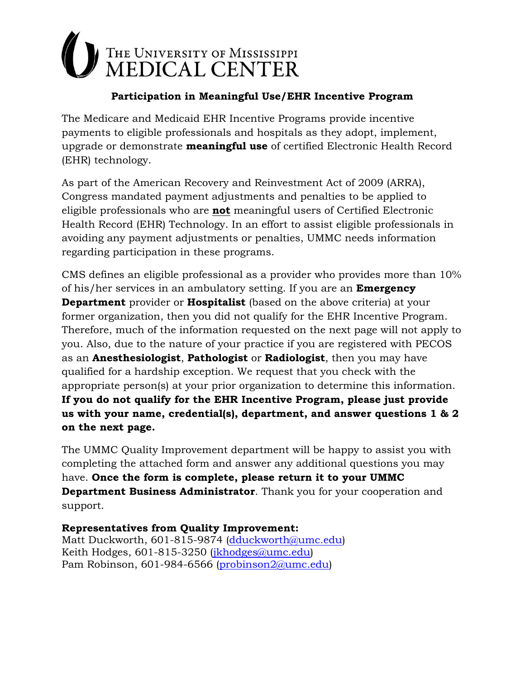## THE UNIVERSITY OF MISSISSIPPI<br>MEDICAL CENTER

## **Participation in Meaningful Use/EHR Incentive Program**

The Medicare and Medicaid EHR Incentive Programs provide incentive payments to eligible professionals and hospitals as they adopt, implement, upgrade or demonstrate **meaningful use** of certified Electronic Health Record (EHR) technology.

As part of the American Recovery and Reinvestment Act of 2009 (ARRA), Congress mandated payment adjustments and penalties to be applied to eligible professionals who are **not** meaningful users of Certified Electronic Health Record (EHR) Technology. In an effort to assist eligible professionals in avoiding any payment adjustments or penalties, UMMC needs information regarding participation in these programs.

CMS defines an eligible professional as a provider who provides more than 10% of his/her services in an ambulatory setting. If you are an **Emergency Department** provider or **Hospitalist** (based on the above criteria) at your former organization, then you did not qualify for the EHR Incentive Program. Therefore, much of the information requested on the next page will not apply to you. Also, due to the nature of your practice if you are registered with PECOS as an **Anesthesiologist**, **Pathologist** or **Radiologist**, then you may have qualified for a hardship exception. We request that you check with the appropriate person(s) at your prior organization to determine this information. **If you do not qualify for the EHR Incentive Program, please just provide us with your name, credential(s), department, and answer questions 1 & 2 on the next page.**

The UMMC Quality Improvement department will be happy to assist you with completing the attached form and answer any additional questions you may have. **Once the form is complete, please return it to your UMMC Department Business Administrator**. Thank you for your cooperation and support.

**Representatives from Quality Improvement:** Matt Duckworth, 601-815-9874 [\(dduckworth@umc.edu\)](mailto:dduckworth@umc.edu) Keith Hodges, 601-815-3250 (*jkhodges@umc.edu*) Pam Robinson, 601-984-6566 [\(probinson2@umc.edu\)](mailto:probinson2@umc.edu)